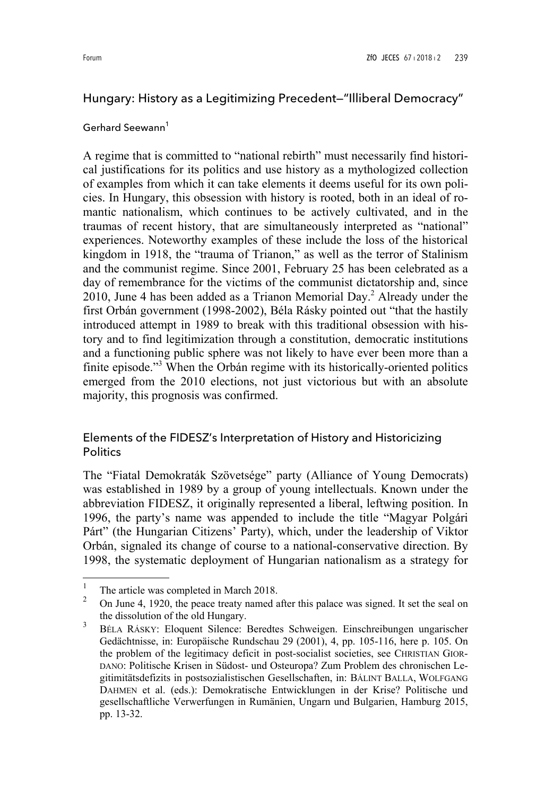# Hungary: History as a Legitimizing Precedent—"Illiberal Democracy"

### Gerhard Seewann $^1$

A regime that is committed to "national rebirth" must necessarily find historical justifications for its politics and use history as a mythologized collection of examples from which it can take elements it deems useful for its own policies. In Hungary, this obsession with history is rooted, both in an ideal of romantic nationalism, which continues to be actively cultivated, and in the traumas of recent history, that are simultaneously interpreted as "national" experiences. Noteworthy examples of these include the loss of the historical kingdom in 1918, the "trauma of Trianon," as well as the terror of Stalinism and the communist regime. Since 2001, February 25 has been celebrated as a day of remembrance for the victims of the communist dictatorship and, since 2010, June 4 has been added as a Trianon Memorial Day.<sup>2</sup> Already under the first Orbán government (1998-2002), Béla Rásky pointed out "that the hastily introduced attempt in 1989 to break with this traditional obsession with history and to find legitimization through a constitution, democratic institutions and a functioning public sphere was not likely to have ever been more than a finite episode."<sup>3</sup> When the Orbán regime with its historically-oriented politics emerged from the 2010 elections, not just victorious but with an absolute majority, this prognosis was confirmed.

## Elements of the FIDESZ's Interpretation of History and Historicizing **Politics**

The "Fiatal Demokraták Szövetsége" party (Alliance of Young Democrats) was established in 1989 by a group of young intellectuals. Known under the abbreviation FIDESZ, it originally represented a liberal, leftwing position. In 1996, the party's name was appended to include the title "Magyar Polgári Párt" (the Hungarian Citizens' Party), which, under the leadership of Viktor Orbán, signaled its change of course to a national-conservative direction. By 1998, the systematic deployment of Hungarian nationalism as a strategy for

<sup>1</sup> The article was completed in March 2018.

<sup>2</sup> On June 4, 1920, the peace treaty named after this palace was signed. It set the seal on the dissolution of the old Hungary.

<sup>3</sup> BÉLA RÁSKY: Eloquent Silence: Beredtes Schweigen. Einschreibungen ungarischer Gedächtnisse, in: Europäische Rundschau 29 (2001), 4, pp. 105-116, here p. 105. On the problem of the legitimacy deficit in post-socialist societies, see CHRISTIAN GIOR-DANO: Politische Krisen in Südost- und Osteuropa? Zum Problem des chronischen Legitimitätsdefizits in postsozialistischen Gesellschaften, in: BÁLINT BALLA, WOLFGANG DAHMEN et al. (eds.): Demokratische Entwicklungen in der Krise? Politische und gesellschaftliche Verwerfungen in Rumänien, Ungarn und Bulgarien, Hamburg 2015, pp. 13-32.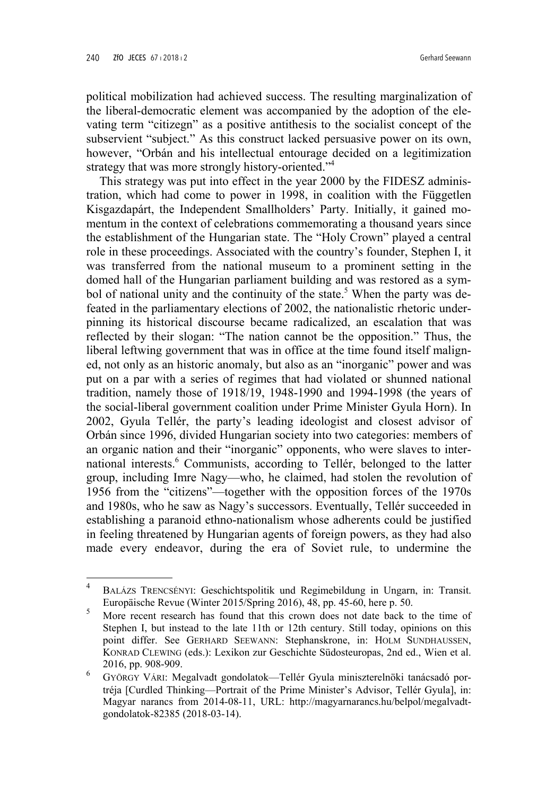ı

political mobilization had achieved success. The resulting marginalization of the liberal-democratic element was accompanied by the adoption of the elevating term "citizegn" as a positive antithesis to the socialist concept of the subservient "subject." As this construct lacked persuasive power on its own, however, "Orbán and his intellectual entourage decided on a legitimization strategy that was more strongly history-oriented.<sup>34</sup>

This strategy was put into effect in the year 2000 by the FIDESZ administration, which had come to power in 1998, in coalition with the Független Kisgazdapárt, the Independent Smallholders' Party. Initially, it gained momentum in the context of celebrations commemorating a thousand years since the establishment of the Hungarian state. The "Holy Crown" played a central role in these proceedings. Associated with the country's founder, Stephen I, it was transferred from the national museum to a prominent setting in the domed hall of the Hungarian parliament building and was restored as a symbol of national unity and the continuity of the state.<sup>5</sup> When the party was defeated in the parliamentary elections of 2002, the nationalistic rhetoric underpinning its historical discourse became radicalized, an escalation that was reflected by their slogan: "The nation cannot be the opposition." Thus, the liberal leftwing government that was in office at the time found itself maligned, not only as an historic anomaly, but also as an "inorganic" power and was put on a par with a series of regimes that had violated or shunned national tradition, namely those of 1918/19, 1948-1990 and 1994-1998 (the years of the social-liberal government coalition under Prime Minister Gyula Horn). In 2002, Gyula Tellér, the party's leading ideologist and closest advisor of Orbán since 1996, divided Hungarian society into two categories: members of an organic nation and their "inorganic" opponents, who were slaves to international interests.<sup>6</sup> Communists, according to Tellér, belonged to the latter group, including Imre Nagy—who, he claimed, had stolen the revolution of 1956 from the "citizens"—together with the opposition forces of the 1970s and 1980s, who he saw as Nagy's successors. Eventually, Tellér succeeded in establishing a paranoid ethno-nationalism whose adherents could be justified in feeling threatened by Hungarian agents of foreign powers, as they had also made every endeavor, during the era of Soviet rule, to undermine the

<sup>4</sup> BALÁZS TRENCSÉNYI: Geschichtspolitik und Regimebildung in Ungarn, in: Transit. Europäische Revue (Winter 2015/Spring 2016), 48, pp. 45-60, here p. 50.

<sup>5</sup> More recent research has found that this crown does not date back to the time of Stephen I, but instead to the late 11th or 12th century. Still today, opinions on this point differ. See GERHARD SEEWANN: Stephanskrone, in: HOLM SUNDHAUSSEN, KONRAD CLEWING (eds.): Lexikon zur Geschichte Südosteuropas, 2nd ed., Wien et al. 2016, pp. 908-909.

<sup>6</sup> GYÖRGY VÁRI: Megalvadt gondolatok—Tellér Gyula miniszterelnöki tanácsadó portréja [Curdled Thinking—Portrait of the Prime Minister's Advisor, Tellér Gyula], in: Magyar narancs from 2014-08-11, URL: http://magyarnarancs.hu/belpol/megalvadtgondolatok-82385 (2018-03-14).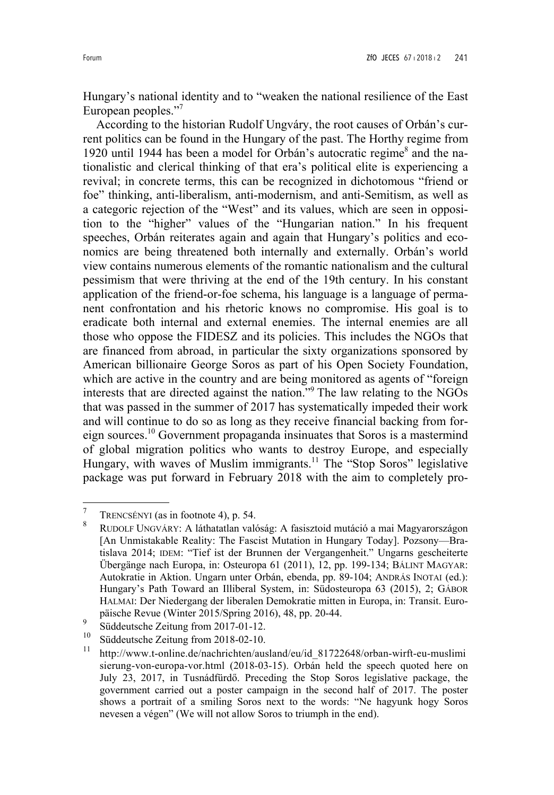Hungary's national identity and to "weaken the national resilience of the East European peoples."<sup>7</sup>

According to the historian Rudolf Ungváry, the root causes of Orbán's current politics can be found in the Hungary of the past. The Horthy regime from 1920 until 1944 has been a model for Orbán's autocratic regime<sup>8</sup> and the nationalistic and clerical thinking of that era's political elite is experiencing a revival; in concrete terms, this can be recognized in dichotomous "friend or foe" thinking, anti-liberalism, anti-modernism, and anti-Semitism, as well as a categoric rejection of the "West" and its values, which are seen in opposition to the "higher" values of the "Hungarian nation." In his frequent speeches, Orbán reiterates again and again that Hungary's politics and economics are being threatened both internally and externally. Orbán's world view contains numerous elements of the romantic nationalism and the cultural pessimism that were thriving at the end of the 19th century. In his constant application of the friend-or-foe schema, his language is a language of permanent confrontation and his rhetoric knows no compromise. His goal is to eradicate both internal and external enemies. The internal enemies are all those who oppose the FIDESZ and its policies. This includes the NGOs that are financed from abroad, in particular the sixty organizations sponsored by American billionaire George Soros as part of his Open Society Foundation, which are active in the country and are being monitored as agents of "foreign interests that are directed against the nation."<sup>9</sup> The law relating to the NGOs that was passed in the summer of 2017 has systematically impeded their work and will continue to do so as long as they receive financial backing from foreign sources.<sup>10</sup> Government propaganda insinuates that Soros is a mastermind of global migration politics who wants to destroy Europe, and especially Hungary, with waves of Muslim immigrants.<sup>11</sup> The "Stop Soros" legislative package was put forward in February 2018 with the aim to completely pro-

<sup>7</sup> TRENCSÉNYI (as in footnote 4), p. 54.

<sup>8</sup> RUDOLF UNGVÁRY: A láthatatlan valóság: A fasisztoid mutáció a mai Magyarországon [An Unmistakable Reality: The Fascist Mutation in Hungary Today]. Pozsony—Bratislava 2014; IDEM: "Tief ist der Brunnen der Vergangenheit." Ungarns gescheiterte Übergänge nach Europa, in: Osteuropa 61 (2011), 12, pp. 199-134; BÁLINT MAGYAR: Autokratie in Aktion. Ungarn unter Orbán, ebenda, pp. 89-104; ANDRÁS INOTAI (ed.): Hungary's Path Toward an Illiberal System, in: Südosteuropa 63 (2015), 2; GÁBOR HALMAI: Der Niedergang der liberalen Demokratie mitten in Europa, in: Transit. Europäische Revue (Winter 2015/Spring 2016), 48, pp. 20-44.

<sup>9</sup> Süddeutsche Zeitung from 2017-01-12.

<sup>10</sup> Süddeutsche Zeitung from 2018-02-10.

<sup>&</sup>lt;sup>11</sup> http://www.t-online.de/nachrichten/ausland/eu/id 81722648/orban-wirft-eu-muslimi sierung-von-europa-vor.html (2018-03-15). Orbán held the speech quoted here on July 23, 2017, in Tusnádfürdő. Preceding the Stop Soros legislative package, the government carried out a poster campaign in the second half of 2017. The poster shows a portrait of a smiling Soros next to the words: "Ne hagyunk hogy Soros nevesen a végen" (We will not allow Soros to triumph in the end).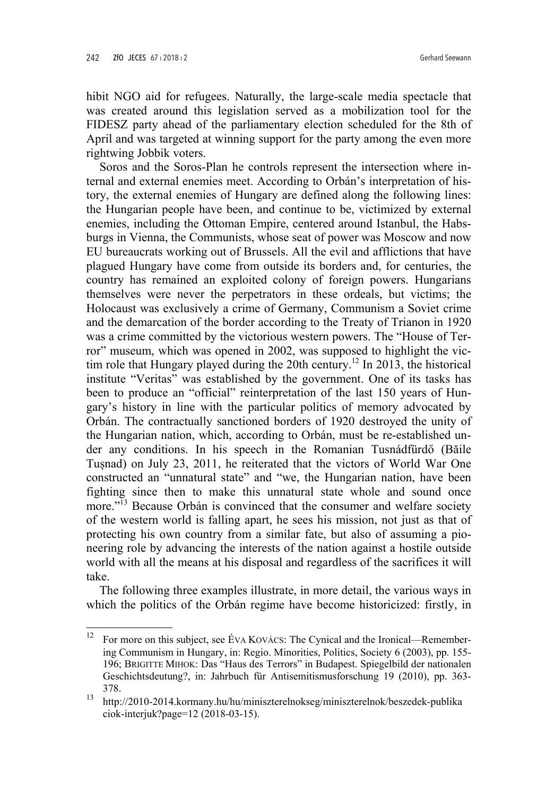ı

hibit NGO aid for refugees. Naturally, the large-scale media spectacle that was created around this legislation served as a mobilization tool for the FIDESZ party ahead of the parliamentary election scheduled for the 8th of April and was targeted at winning support for the party among the even more rightwing Jobbik voters.

Soros and the Soros-Plan he controls represent the intersection where internal and external enemies meet. According to Orbán's interpretation of history, the external enemies of Hungary are defined along the following lines: the Hungarian people have been, and continue to be, victimized by external enemies, including the Ottoman Empire, centered around Istanbul, the Habsburgs in Vienna, the Communists, whose seat of power was Moscow and now EU bureaucrats working out of Brussels. All the evil and afflictions that have plagued Hungary have come from outside its borders and, for centuries, the country has remained an exploited colony of foreign powers. Hungarians themselves were never the perpetrators in these ordeals, but victims; the Holocaust was exclusively a crime of Germany, Communism a Soviet crime and the demarcation of the border according to the Treaty of Trianon in 1920 was a crime committed by the victorious western powers. The "House of Terror" museum, which was opened in 2002, was supposed to highlight the victim role that Hungary played during the 20th century.<sup>12</sup> In 2013, the historical institute "Veritas" was established by the government. One of its tasks has been to produce an "official" reinterpretation of the last 150 years of Hungary's history in line with the particular politics of memory advocated by Orbán. The contractually sanctioned borders of 1920 destroyed the unity of the Hungarian nation, which, according to Orbán, must be re-established under any conditions. In his speech in the Romanian Tusnádfürdő (Băile Tușnad) on July 23, 2011, he reiterated that the victors of World War One constructed an "unnatural state" and "we, the Hungarian nation, have been fighting since then to make this unnatural state whole and sound once more."<sup>13</sup> Because Orbán is convinced that the consumer and welfare society of the western world is falling apart, he sees his mission, not just as that of protecting his own country from a similar fate, but also of assuming a pioneering role by advancing the interests of the nation against a hostile outside world with all the means at his disposal and regardless of the sacrifices it will take.

The following three examples illustrate, in more detail, the various ways in which the politics of the Orbán regime have become historicized: firstly, in

<sup>&</sup>lt;sup>12</sup> For more on this subject, see ÉVA KOVÁCS: The Cynical and the Ironical—Remembering Communism in Hungary, in: Regio. Minorities, Politics, Society 6 (2003), pp. 155- 196; BRIGITTE MIHOK: Das "Haus des Terrors" in Budapest. Spiegelbild der nationalen Geschichtsdeutung?, in: Jahrbuch für Antisemitismusforschung 19 (2010), pp. 363- 378.

<sup>13</sup> http://2010-2014.kormany.hu/hu/miniszterelnokseg/miniszterelnok/beszedek-publika ciok-interjuk?page=12 (2018-03-15).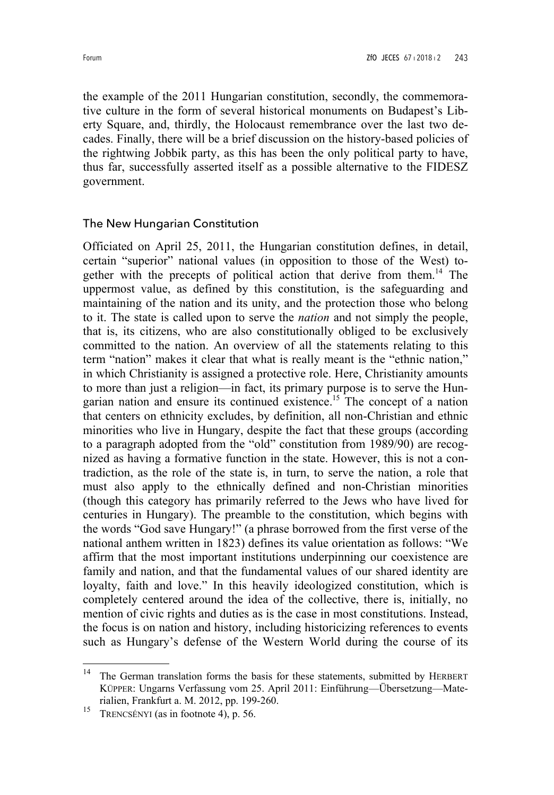the example of the 2011 Hungarian constitution, secondly, the commemorative culture in the form of several historical monuments on Budapest's Liberty Square, and, thirdly, the Holocaust remembrance over the last two decades. Finally, there will be a brief discussion on the history-based policies of the rightwing Jobbik party, as this has been the only political party to have, thus far, successfully asserted itself as a possible alternative to the FIDESZ government.

### The New Hungarian Constitution

Officiated on April 25, 2011, the Hungarian constitution defines, in detail, certain "superior" national values (in opposition to those of the West) together with the precepts of political action that derive from them.<sup>14</sup> The uppermost value, as defined by this constitution, is the safeguarding and maintaining of the nation and its unity, and the protection those who belong to it. The state is called upon to serve the *nation* and not simply the people, that is, its citizens, who are also constitutionally obliged to be exclusively committed to the nation. An overview of all the statements relating to this term "nation" makes it clear that what is really meant is the "ethnic nation," in which Christianity is assigned a protective role. Here, Christianity amounts to more than just a religion—in fact, its primary purpose is to serve the Hungarian nation and ensure its continued existence.<sup>15</sup> The concept of a nation that centers on ethnicity excludes, by definition, all non-Christian and ethnic minorities who live in Hungary, despite the fact that these groups (according to a paragraph adopted from the "old" constitution from 1989/90) are recognized as having a formative function in the state. However, this is not a contradiction, as the role of the state is, in turn, to serve the nation, a role that must also apply to the ethnically defined and non-Christian minorities (though this category has primarily referred to the Jews who have lived for centuries in Hungary). The preamble to the constitution, which begins with the words "God save Hungary!" (a phrase borrowed from the first verse of the national anthem written in 1823) defines its value orientation as follows: "We affirm that the most important institutions underpinning our coexistence are family and nation, and that the fundamental values of our shared identity are loyalty, faith and love." In this heavily ideologized constitution, which is completely centered around the idea of the collective, there is, initially, no mention of civic rights and duties as is the case in most constitutions. Instead, the focus is on nation and history, including historicizing references to events such as Hungary's defense of the Western World during the course of its

<sup>&</sup>lt;sup>14</sup> The German translation forms the basis for these statements, submitted by HERBERT KÜPPER: Ungarns Verfassung vom 25. April 2011: Einführung—Übersetzung—Materialien, Frankfurt a. M. 2012, pp. 199-260.

<sup>&</sup>lt;sup>15</sup> TRENCSÉNYI (as in footnote 4), p. 56.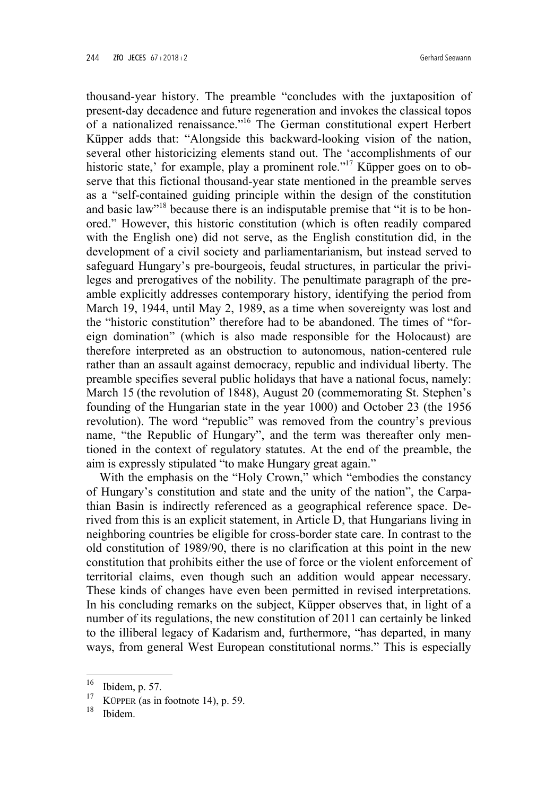thousand-year history. The preamble "concludes with the juxtaposition of present-day decadence and future regeneration and invokes the classical topos of a nationalized renaissance."<sup>16</sup> The German constitutional expert Herbert Küpper adds that: "Alongside this backward-looking vision of the nation, several other historicizing elements stand out. The 'accomplishments of our historic state,' for example, play a prominent role."<sup>17</sup> Küpper goes on to observe that this fictional thousand-year state mentioned in the preamble serves as a "self-contained guiding principle within the design of the constitution and basic law"18 because there is an indisputable premise that "it is to be honored." However, this historic constitution (which is often readily compared with the English one) did not serve, as the English constitution did, in the development of a civil society and parliamentarianism, but instead served to safeguard Hungary's pre-bourgeois, feudal structures, in particular the privileges and prerogatives of the nobility. The penultimate paragraph of the preamble explicitly addresses contemporary history, identifying the period from March 19, 1944, until May 2, 1989, as a time when sovereignty was lost and the "historic constitution" therefore had to be abandoned. The times of "foreign domination" (which is also made responsible for the Holocaust) are therefore interpreted as an obstruction to autonomous, nation-centered rule rather than an assault against democracy, republic and individual liberty. The preamble specifies several public holidays that have a national focus, namely: March 15 (the revolution of 1848), August 20 (commemorating St. Stephen's founding of the Hungarian state in the year 1000) and October 23 (the 1956 revolution). The word "republic" was removed from the country's previous name, "the Republic of Hungary", and the term was thereafter only mentioned in the context of regulatory statutes. At the end of the preamble, the aim is expressly stipulated "to make Hungary great again."

With the emphasis on the "Holy Crown," which "embodies the constancy of Hungary's constitution and state and the unity of the nation", the Carpathian Basin is indirectly referenced as a geographical reference space. Derived from this is an explicit statement, in Article D, that Hungarians living in neighboring countries be eligible for cross-border state care. In contrast to the old constitution of 1989/90, there is no clarification at this point in the new constitution that prohibits either the use of force or the violent enforcement of territorial claims, even though such an addition would appear necessary. These kinds of changes have even been permitted in revised interpretations. In his concluding remarks on the subject, Küpper observes that, in light of a number of its regulations, the new constitution of 2011 can certainly be linked to the illiberal legacy of Kadarism and, furthermore, "has departed, in many ways, from general West European constitutional norms." This is especially

l

 $16$  Ibidem, p. 57.

<sup>&</sup>lt;sup>17</sup> KÜPPER (as in footnote 14), p. 59.

<sup>18</sup> Ibidem.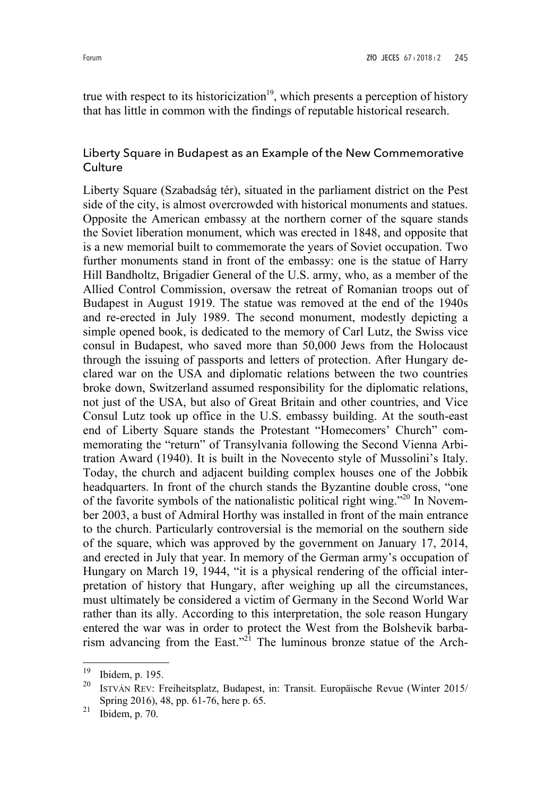true with respect to its historicization<sup>19</sup>, which presents a perception of history that has little in common with the findings of reputable historical research.

### Liberty Square in Budapest as an Example of the New Commemorative **Culture**

Liberty Square (Szabadság tér), situated in the parliament district on the Pest side of the city, is almost overcrowded with historical monuments and statues. Opposite the American embassy at the northern corner of the square stands the Soviet liberation monument, which was erected in 1848, and opposite that is a new memorial built to commemorate the years of Soviet occupation. Two further monuments stand in front of the embassy: one is the statue of Harry Hill Bandholtz, Brigadier General of the U.S. army, who, as a member of the Allied Control Commission, oversaw the retreat of Romanian troops out of Budapest in August 1919. The statue was removed at the end of the 1940s and re-erected in July 1989. The second monument, modestly depicting a simple opened book, is dedicated to the memory of Carl Lutz, the Swiss vice consul in Budapest, who saved more than 50,000 Jews from the Holocaust through the issuing of passports and letters of protection. After Hungary declared war on the USA and diplomatic relations between the two countries broke down, Switzerland assumed responsibility for the diplomatic relations, not just of the USA, but also of Great Britain and other countries, and Vice Consul Lutz took up office in the U.S. embassy building. At the south-east end of Liberty Square stands the Protestant "Homecomers' Church" commemorating the "return" of Transylvania following the Second Vienna Arbitration Award (1940). It is built in the Novecento style of Mussolini's Italy. Today, the church and adjacent building complex houses one of the Jobbik headquarters. In front of the church stands the Byzantine double cross, "one of the favorite symbols of the nationalistic political right wing."<sup>20</sup> In November 2003, a bust of Admiral Horthy was installed in front of the main entrance to the church. Particularly controversial is the memorial on the southern side of the square, which was approved by the government on January 17, 2014, and erected in July that year. In memory of the German army's occupation of Hungary on March 19, 1944, "it is a physical rendering of the official interpretation of history that Hungary, after weighing up all the circumstances, must ultimately be considered a victim of Germany in the Second World War rather than its ally. According to this interpretation, the sole reason Hungary entered the war was in order to protect the West from the Bolshevik barbarism advancing from the East."<sup>21</sup> The luminous bronze statue of the Arch-

<sup>19</sup> Ibidem, p. 195.

<sup>20</sup> ISTVÁN REV: Freiheitsplatz, Budapest, in: Transit. Europäische Revue (Winter 2015/ Spring 2016), 48, pp. 61-76, here p. 65.

 $21$  Ibidem, p. 70.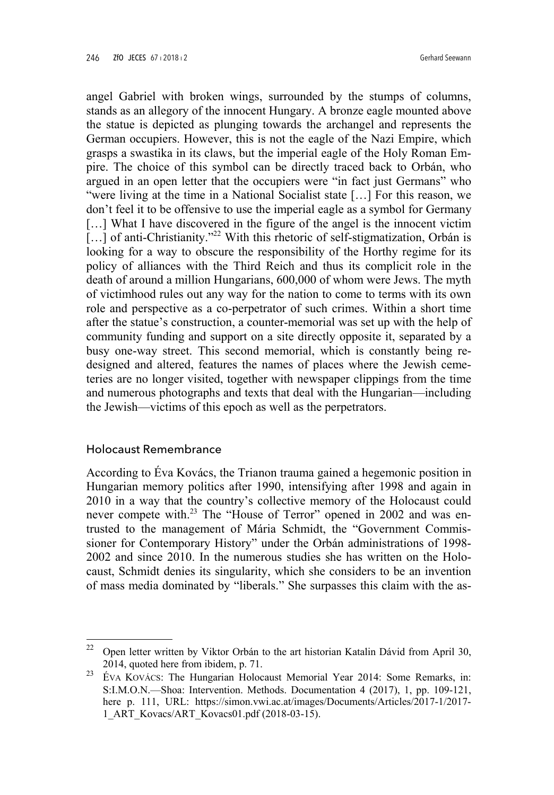angel Gabriel with broken wings, surrounded by the stumps of columns, stands as an allegory of the innocent Hungary. A bronze eagle mounted above the statue is depicted as plunging towards the archangel and represents the German occupiers. However, this is not the eagle of the Nazi Empire, which grasps a swastika in its claws, but the imperial eagle of the Holy Roman Empire. The choice of this symbol can be directly traced back to Orbán, who argued in an open letter that the occupiers were "in fact just Germans" who "were living at the time in a National Socialist state […] For this reason, we don't feel it to be offensive to use the imperial eagle as a symbol for Germany [...] What I have discovered in the figure of the angel is the innocent victim [...] of anti-Christianity."<sup>22</sup> With this rhetoric of self-stigmatization, Orbán is looking for a way to obscure the responsibility of the Horthy regime for its policy of alliances with the Third Reich and thus its complicit role in the death of around a million Hungarians, 600,000 of whom were Jews. The myth of victimhood rules out any way for the nation to come to terms with its own role and perspective as a co-perpetrator of such crimes. Within a short time after the statue's construction, a counter-memorial was set up with the help of community funding and support on a site directly opposite it, separated by a busy one-way street. This second memorial, which is constantly being redesigned and altered, features the names of places where the Jewish cemeteries are no longer visited, together with newspaper clippings from the time and numerous photographs and texts that deal with the Hungarian—including the Jewish—victims of this epoch as well as the perpetrators.

### Holocaust Remembrance

ı

According to Éva Kovács, the Trianon trauma gained a hegemonic position in Hungarian memory politics after 1990, intensifying after 1998 and again in 2010 in a way that the country's collective memory of the Holocaust could never compete with.<sup>23</sup> The "House of Terror" opened in 2002 and was entrusted to the management of Mária Schmidt, the "Government Commissioner for Contemporary History" under the Orbán administrations of 1998- 2002 and since 2010. In the numerous studies she has written on the Holocaust, Schmidt denies its singularity, which she considers to be an invention of mass media dominated by "liberals." She surpasses this claim with the as-

<sup>&</sup>lt;sup>22</sup> Open letter written by Viktor Orbán to the art historian Katalin Dávid from April 30, 2014, quoted here from ibidem, p. 71.

<sup>&</sup>lt;sup>23</sup> ÉVA KOVÁCS: The Hungarian Holocaust Memorial Year 2014: Some Remarks, in: S:I.M.O.N.—Shoa: Intervention. Methods. Documentation 4 (2017), 1, pp. 109-121, here p. 111, URL: https://simon.vwi.ac.at/images/Documents/Articles/2017-1/2017- 1\_ART\_Kovacs/ART\_Kovacs01.pdf (2018-03-15).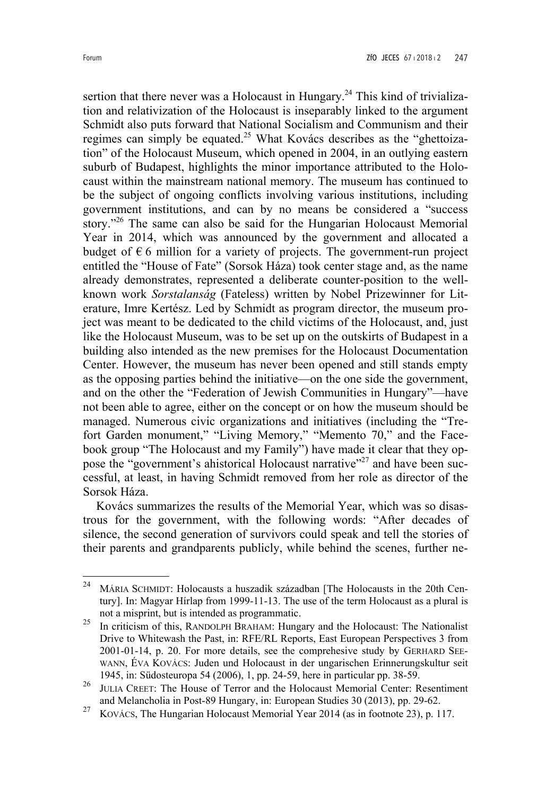sertion that there never was a Holocaust in Hungary.<sup>24</sup> This kind of trivialization and relativization of the Holocaust is inseparably linked to the argument Schmidt also puts forward that National Socialism and Communism and their regimes can simply be equated.<sup>25</sup> What Kovács describes as the "ghettoization" of the Holocaust Museum, which opened in 2004, in an outlying eastern suburb of Budapest, highlights the minor importance attributed to the Holocaust within the mainstream national memory. The museum has continued to be the subject of ongoing conflicts involving various institutions, including government institutions, and can by no means be considered a "success story."<sup>26</sup> The same can also be said for the Hungarian Holocaust Memorial Year in 2014, which was announced by the government and allocated a budget of  $\epsilon$  6 million for a variety of projects. The government-run project entitled the "House of Fate" (Sorsok Háza) took center stage and, as the name already demonstrates, represented a deliberate counter-position to the wellknown work *Sorstalanság* (Fateless) written by Nobel Prizewinner for Literature, Imre Kertész. Led by Schmidt as program director, the museum project was meant to be dedicated to the child victims of the Holocaust, and, just like the Holocaust Museum, was to be set up on the outskirts of Budapest in a building also intended as the new premises for the Holocaust Documentation Center. However, the museum has never been opened and still stands empty as the opposing parties behind the initiative—on the one side the government, and on the other the "Federation of Jewish Communities in Hungary"—have not been able to agree, either on the concept or on how the museum should be managed. Numerous civic organizations and initiatives (including the "Trefort Garden monument," "Living Memory," "Memento 70," and the Facebook group "The Holocaust and my Family") have made it clear that they oppose the "government's ahistorical Holocaust narrative"<sup>27</sup> and have been successful, at least, in having Schmidt removed from her role as director of the Sorsok Háza.

Kovács summarizes the results of the Memorial Year, which was so disastrous for the government, with the following words: "After decades of silence, the second generation of survivors could speak and tell the stories of their parents and grandparents publicly, while behind the scenes, further ne-

<sup>24</sup> MÁRIA SCHMIDT: Holocausts a huszadik században [The Holocausts in the 20th Century]. In: Magyar Hírlap from 1999-11-13. The use of the term Holocaust as a plural is not a misprint, but is intended as programmatic.

<sup>&</sup>lt;sup>25</sup> In criticism of this, RANDOLPH BRAHAM: Hungary and the Holocaust: The Nationalist Drive to Whitewash the Past, in: RFE/RL Reports, East European Perspectives 3 from 2001-01-14, p. 20. For more details, see the comprehesive study by GERHARD SEE-WANN, ÉVA KOVÁCS: Juden und Holocaust in der ungarischen Erinnerungskultur seit 1945, in: Südosteuropa 54 (2006), 1, pp. 24-59, here in particular pp. 38-59.

<sup>&</sup>lt;sup>26</sup> JULIA CREET: The House of Terror and the Holocaust Memorial Center: Resentiment and Melancholia in Post-89 Hungary, in: European Studies 30 (2013), pp. 29-62.

<sup>&</sup>lt;sup>27</sup> KOVÁCS, The Hungarian Holocaust Memorial Year 2014 (as in footnote 23), p. 117.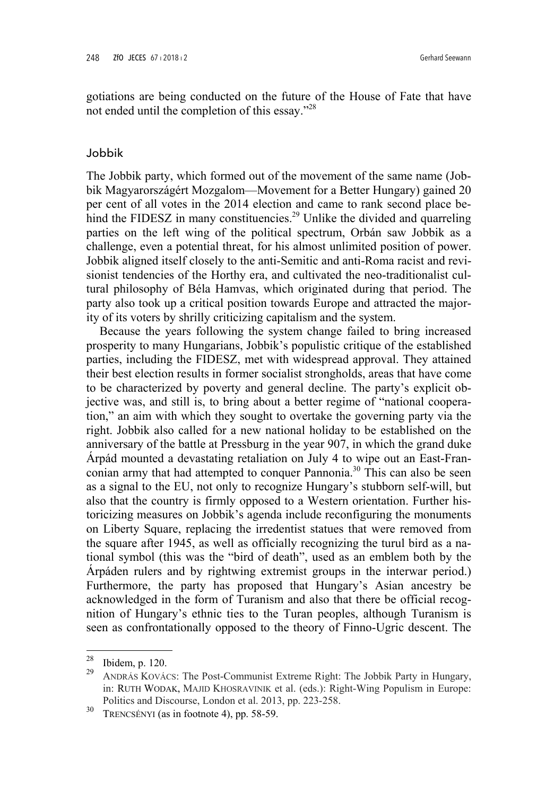gotiations are being conducted on the future of the House of Fate that have not ended until the completion of this essay."<sup>28</sup>

#### Jobbik

The Jobbik party, which formed out of the movement of the same name (Jobbik Magyarországért Mozgalom—Movement for a Better Hungary) gained 20 per cent of all votes in the 2014 election and came to rank second place behind the FIDESZ in many constituencies.<sup>29</sup> Unlike the divided and quarreling parties on the left wing of the political spectrum, Orbán saw Jobbik as a challenge, even a potential threat, for his almost unlimited position of power. Jobbik aligned itself closely to the anti-Semitic and anti-Roma racist and revisionist tendencies of the Horthy era, and cultivated the neo-traditionalist cultural philosophy of Béla Hamvas, which originated during that period. The party also took up a critical position towards Europe and attracted the majority of its voters by shrilly criticizing capitalism and the system.

Because the years following the system change failed to bring increased prosperity to many Hungarians, Jobbik's populistic critique of the established parties, including the FIDESZ, met with widespread approval. They attained their best election results in former socialist strongholds, areas that have come to be characterized by poverty and general decline. The party's explicit objective was, and still is, to bring about a better regime of "national cooperation," an aim with which they sought to overtake the governing party via the right. Jobbik also called for a new national holiday to be established on the anniversary of the battle at Pressburg in the year 907, in which the grand duke Árpád mounted a devastating retaliation on July 4 to wipe out an East-Franconian army that had attempted to conquer Pannonia.<sup>30</sup> This can also be seen as a signal to the EU, not only to recognize Hungary's stubborn self-will, but also that the country is firmly opposed to a Western orientation. Further historicizing measures on Jobbik's agenda include reconfiguring the monuments on Liberty Square, replacing the irredentist statues that were removed from the square after 1945, as well as officially recognizing the turul bird as a national symbol (this was the "bird of death", used as an emblem both by the Árpáden rulers and by rightwing extremist groups in the interwar period.) Furthermore, the party has proposed that Hungary's Asian ancestry be acknowledged in the form of Turanism and also that there be official recognition of Hungary's ethnic ties to the Turan peoples, although Turanism is seen as confrontationally opposed to the theory of Finno-Ugric descent. The

 $28$  Ibidem, p. 120.

<sup>29</sup> ANDRÁS KOVÁCS: The Post-Communist Extreme Right: The Jobbik Party in Hungary, in: RUTH WODAK, MAJID KHOSRAVINIK et al. (eds.): Right-Wing Populism in Europe: Politics and Discourse, London et al. 2013, pp. 223-258.

<sup>30</sup> TRENCSÉNYI (as in footnote 4), pp. 58-59.